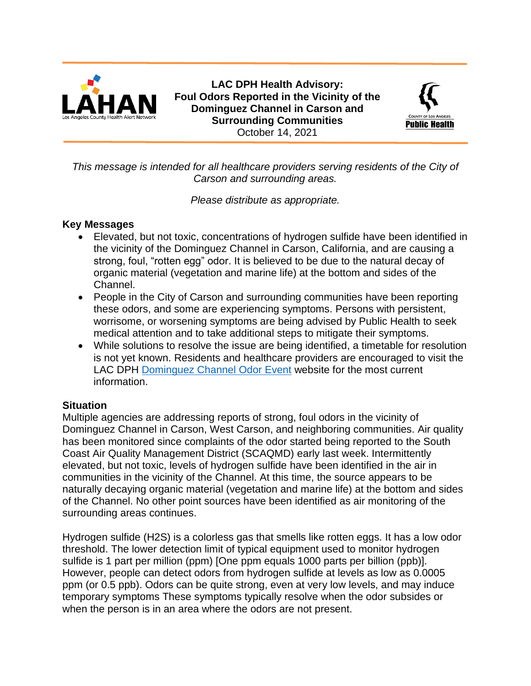

**LAC DPH Health Advisory: Foul Odors Reported in the Vicinity of the Dominguez Channel in Carson and Surrounding Communities** October 14, 2021



*This message is intended for all healthcare providers serving residents of the City of Carson and surrounding areas.*

*Please distribute as appropriate.*

## **Key Messages**

- Elevated, but not toxic, concentrations of hydrogen sulfide have been identified in the vicinity of the Dominguez Channel in Carson, California, and are causing a strong, foul, "rotten egg" odor. It is believed to be due to the natural decay of organic material (vegetation and marine life) at the bottom and sides of the Channel.
- People in the City of Carson and surrounding communities have been reporting these odors, and some are experiencing symptoms. Persons with persistent, worrisome, or worsening symptoms are being advised by Public Health to seek medical attention and to take additional steps to mitigate their symptoms.
- While solutions to resolve the issue are being identified, a timetable for resolution is not yet known. Residents and healthcare providers are encouraged to visit the LAC DPH [Dominguez Channel Odor Event](http://publichealth.lacounty.gov/media/dominguezchannelodorevent/) website for the most current information.

# **Situation**

Multiple agencies are addressing reports of strong, foul odors in the vicinity of Dominguez Channel in Carson, West Carson, and neighboring communities. Air quality has been monitored since complaints of the odor started being reported to the South Coast Air Quality Management District (SCAQMD) early last week. Intermittently elevated, but not toxic, levels of hydrogen sulfide have been identified in the air in communities in the vicinity of the Channel. At this time, the source appears to be naturally decaying organic material (vegetation and marine life) at the bottom and sides of the Channel. No other point sources have been identified as air monitoring of the surrounding areas continues.

Hydrogen sulfide (H2S) is a colorless gas that smells like rotten eggs. It has a low odor threshold. The lower detection limit of typical equipment used to monitor hydrogen sulfide is 1 part per million (ppm) [One ppm equals 1000 parts per billion (ppb)]. However, people can detect odors from hydrogen sulfide at levels as low as 0.0005 ppm (or 0.5 ppb). Odors can be quite strong, even at very low levels, and may induce temporary symptoms These symptoms typically resolve when the odor subsides or when the person is in an area where the odors are not present.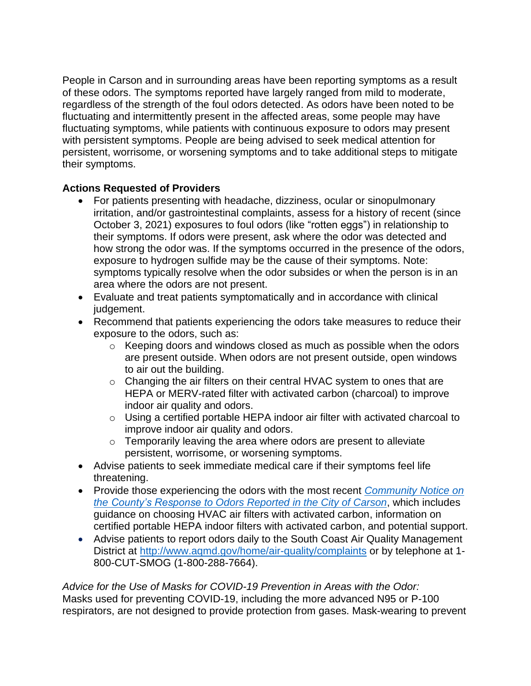People in Carson and in surrounding areas have been reporting symptoms as a result of these odors. The symptoms reported have largely ranged from mild to moderate, regardless of the strength of the foul odors detected. As odors have been noted to be fluctuating and intermittently present in the affected areas, some people may have fluctuating symptoms, while patients with continuous exposure to odors may present with persistent symptoms. People are being advised to seek medical attention for persistent, worrisome, or worsening symptoms and to take additional steps to mitigate their symptoms.

# **Actions Requested of Providers**

- For patients presenting with headache, dizziness, ocular or sinopulmonary irritation, and/or gastrointestinal complaints, assess for a history of recent (since October 3, 2021) exposures to foul odors (like "rotten eggs") in relationship to their symptoms. If odors were present, ask where the odor was detected and how strong the odor was. If the symptoms occurred in the presence of the odors, exposure to hydrogen sulfide may be the cause of their symptoms. Note: symptoms typically resolve when the odor subsides or when the person is in an area where the odors are not present.
- Evaluate and treat patients symptomatically and in accordance with clinical judgement.
- Recommend that patients experiencing the odors take measures to reduce their exposure to the odors, such as:
	- $\circ$  Keeping doors and windows closed as much as possible when the odors are present outside. When odors are not present outside, open windows to air out the building.
	- o Changing the air filters on their central HVAC system to ones that are HEPA or MERV-rated filter with activated carbon (charcoal) to improve indoor air quality and odors.
	- o Using a certified portable HEPA indoor air filter with activated charcoal to improve indoor air quality and odors.
	- $\circ$  Temporarily leaving the area where odors are present to alleviate persistent, worrisome, or worsening symptoms.
- Advise patients to seek immediate medical care if their symptoms feel life threatening.
- Provide those experiencing the odors with the most recent *[Community Notice on](http://publichealth.lacounty.gov/media/docs/Updated_Community_Notice_for_Odors_in_the_City_of_Carson.pdf) [the County's Response to Odors Reported in the City of Carson](http://publichealth.lacounty.gov/media/docs/Updated_Community_Notice_for_Odors_in_the_City_of_Carson.pdf)*, which includes guidance on choosing HVAC air filters with activated carbon, information on certified portable HEPA indoor filters with activated carbon, and potential support.
- Advise patients to report odors daily to the South Coast Air Quality Management District at<http://www.aqmd.gov/home/air-quality/complaints> or by telephone at 1-800-CUT-SMOG (1-800-288-7664).

*Advice for the Use of Masks for COVID-19 Prevention in Areas with the Odor:* Masks used for preventing COVID-19, including the more advanced N95 or P-100 respirators, are not designed to provide protection from gases. Mask-wearing to prevent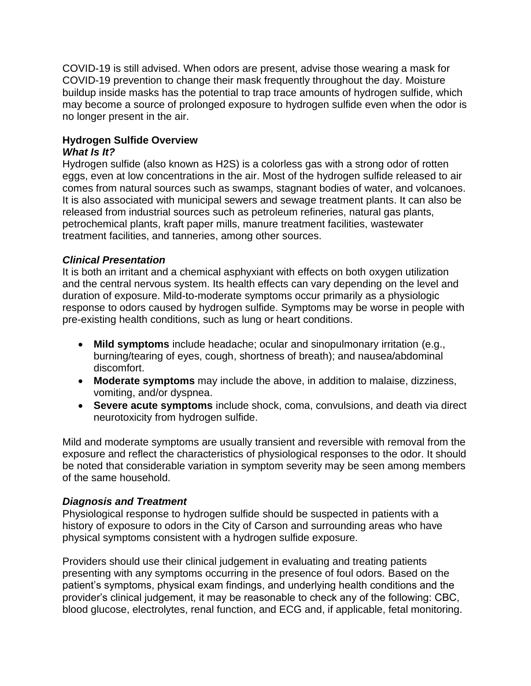COVID-19 is still advised. When odors are present, advise those wearing a mask for COVID-19 prevention to change their mask frequently throughout the day. Moisture buildup inside masks has the potential to trap trace amounts of hydrogen sulfide, which may become a source of prolonged exposure to hydrogen sulfide even when the odor is no longer present in the air.

### **Hydrogen Sulfide Overview** *What Is It?*

Hydrogen sulfide (also known as H2S) is a colorless gas with a strong odor of rotten eggs, even at low concentrations in the air. Most of the hydrogen sulfide released to air comes from natural sources such as swamps, stagnant bodies of water, and volcanoes. It is also associated with municipal sewers and sewage treatment plants. It can also be released from industrial sources such as petroleum refineries, natural gas plants, petrochemical plants, kraft paper mills, manure treatment facilities, wastewater treatment facilities, and tanneries, among other sources.

# *Clinical Presentation*

It is both an irritant and a chemical asphyxiant with effects on both oxygen utilization and the central nervous system. Its health effects can vary depending on the level and duration of exposure. Mild-to-moderate symptoms occur primarily as a physiologic response to odors caused by hydrogen sulfide. Symptoms may be worse in people with pre-existing health conditions, such as lung or heart conditions.

- **Mild symptoms** include headache; ocular and sinopulmonary irritation (e.g., burning/tearing of eyes, cough, shortness of breath); and nausea/abdominal discomfort.
- **Moderate symptoms** may include the above, in addition to malaise, dizziness, vomiting, and/or dyspnea.
- **Severe acute symptoms** include shock, coma, convulsions, and death via direct neurotoxicity from hydrogen sulfide.

Mild and moderate symptoms are usually transient and reversible with removal from the exposure and reflect the characteristics of physiological responses to the odor. It should be noted that considerable variation in symptom severity may be seen among members of the same household.

# *Diagnosis and Treatment*

Physiological response to hydrogen sulfide should be suspected in patients with a history of exposure to odors in the City of Carson and surrounding areas who have physical symptoms consistent with a hydrogen sulfide exposure.

Providers should use their clinical judgement in evaluating and treating patients presenting with any symptoms occurring in the presence of foul odors. Based on the patient's symptoms, physical exam findings, and underlying health conditions and the provider's clinical judgement, it may be reasonable to check any of the following: CBC, blood glucose, electrolytes, renal function, and ECG and, if applicable, fetal monitoring.